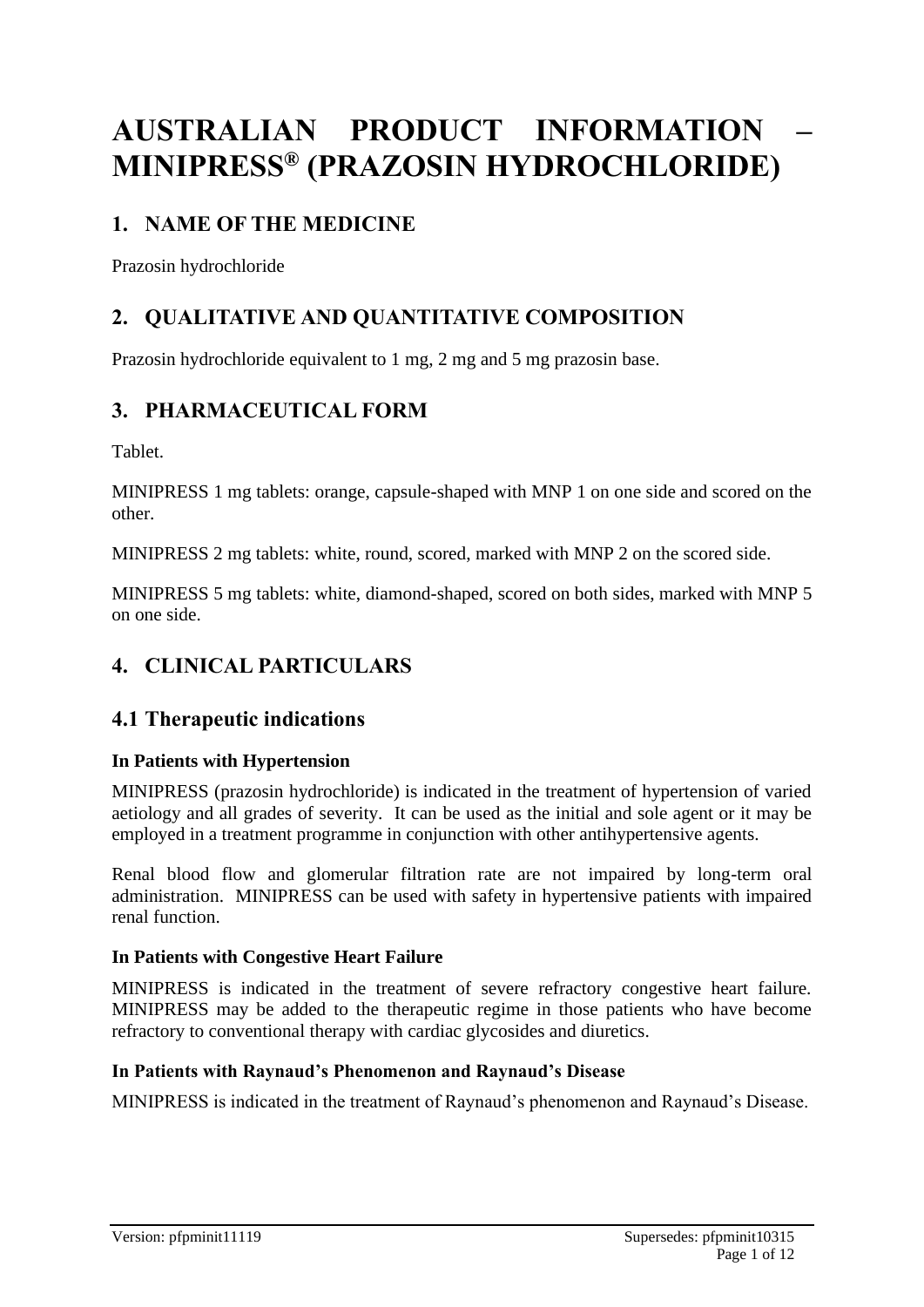# **AUSTRALIAN PRODUCT INFORMATION – MINIPRESS® (PRAZOSIN HYDROCHLORIDE)**

# **1. NAME OF THE MEDICINE**

Prazosin hydrochloride

# **2. QUALITATIVE AND QUANTITATIVE COMPOSITION**

Prazosin hydrochloride equivalent to 1 mg, 2 mg and 5 mg prazosin base.

# **3. PHARMACEUTICAL FORM**

Tablet.

MINIPRESS 1 mg tablets: orange, capsule-shaped with MNP 1 on one side and scored on the other.

MINIPRESS 2 mg tablets: white, round, scored, marked with MNP 2 on the scored side.

MINIPRESS 5 mg tablets: white, diamond-shaped, scored on both sides, marked with MNP 5 on one side.

# **4. CLINICAL PARTICULARS**

# **4.1 Therapeutic indications**

#### **In Patients with Hypertension**

MINIPRESS (prazosin hydrochloride) is indicated in the treatment of hypertension of varied aetiology and all grades of severity. It can be used as the initial and sole agent or it may be employed in a treatment programme in conjunction with other antihypertensive agents.

Renal blood flow and glomerular filtration rate are not impaired by long-term oral administration. MINIPRESS can be used with safety in hypertensive patients with impaired renal function.

#### **In Patients with Congestive Heart Failure**

MINIPRESS is indicated in the treatment of severe refractory congestive heart failure. MINIPRESS may be added to the therapeutic regime in those patients who have become refractory to conventional therapy with cardiac glycosides and diuretics.

#### **In Patients with Raynaud's Phenomenon and Raynaud's Disease**

MINIPRESS is indicated in the treatment of Raynaud's phenomenon and Raynaud's Disease.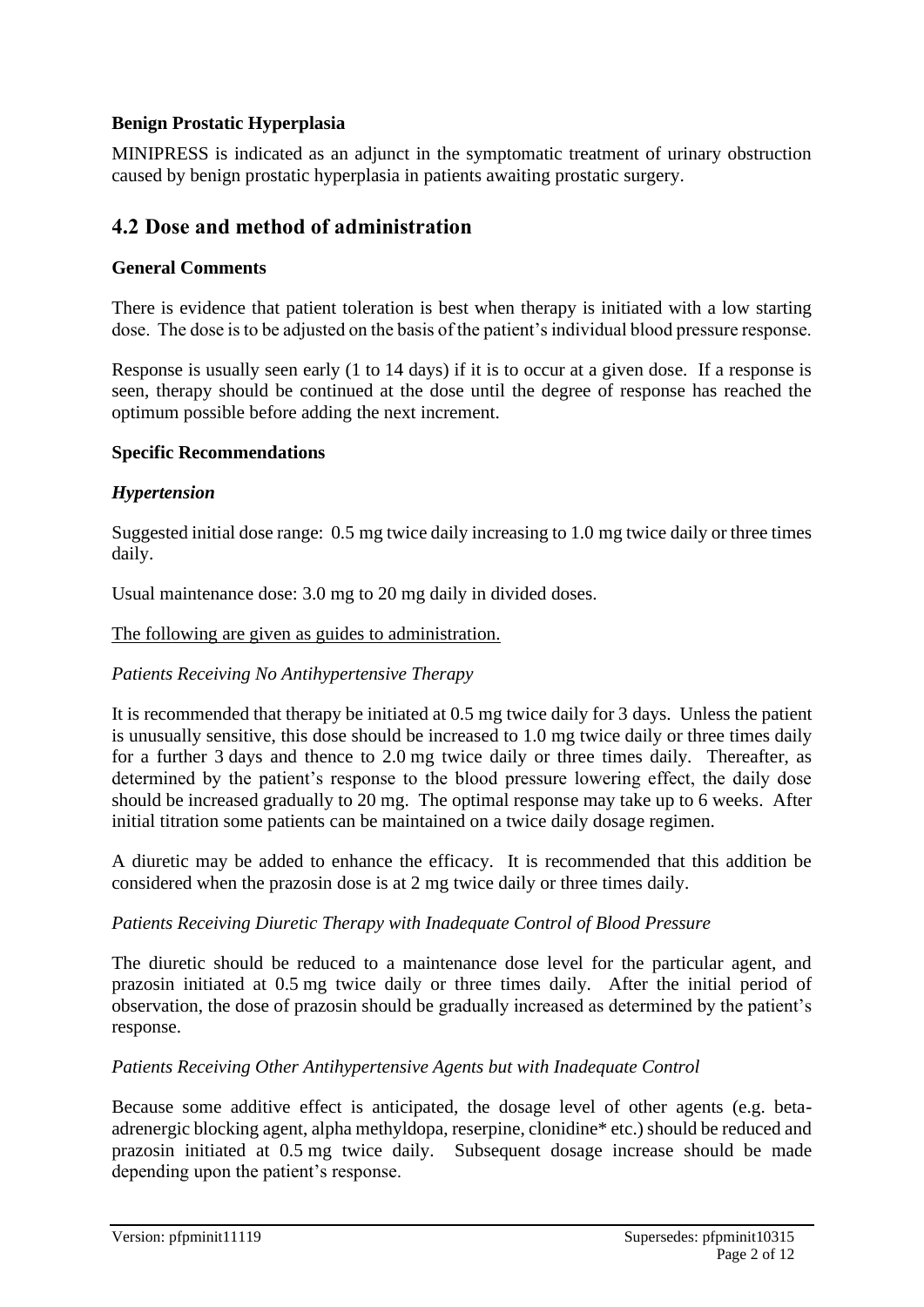#### **Benign Prostatic Hyperplasia**

MINIPRESS is indicated as an adjunct in the symptomatic treatment of urinary obstruction caused by benign prostatic hyperplasia in patients awaiting prostatic surgery.

### **4.2 Dose and method of administration**

#### **General Comments**

There is evidence that patient toleration is best when therapy is initiated with a low starting dose. The dose is to be adjusted on the basis of the patient's individual blood pressure response.

Response is usually seen early (1 to 14 days) if it is to occur at a given dose. If a response is seen, therapy should be continued at the dose until the degree of response has reached the optimum possible before adding the next increment.

#### **Specific Recommendations**

#### *Hypertension*

Suggested initial dose range: 0.5 mg twice daily increasing to 1.0 mg twice daily or three times daily.

Usual maintenance dose: 3.0 mg to 20 mg daily in divided doses.

#### The following are given as guides to administration.

#### *Patients Receiving No Antihypertensive Therapy*

It is recommended that therapy be initiated at 0.5 mg twice daily for 3 days. Unless the patient is unusually sensitive, this dose should be increased to 1.0 mg twice daily or three times daily for a further 3 days and thence to 2.0 mg twice daily or three times daily. Thereafter, as determined by the patient's response to the blood pressure lowering effect, the daily dose should be increased gradually to 20 mg. The optimal response may take up to 6 weeks. After initial titration some patients can be maintained on a twice daily dosage regimen.

A diuretic may be added to enhance the efficacy. It is recommended that this addition be considered when the prazosin dose is at 2 mg twice daily or three times daily.

#### *Patients Receiving Diuretic Therapy with Inadequate Control of Blood Pressure*

The diuretic should be reduced to a maintenance dose level for the particular agent, and prazosin initiated at 0.5 mg twice daily or three times daily. After the initial period of observation, the dose of prazosin should be gradually increased as determined by the patient's response.

#### *Patients Receiving Other Antihypertensive Agents but with Inadequate Control*

Because some additive effect is anticipated, the dosage level of other agents (e.g. betaadrenergic blocking agent, alpha methyldopa, reserpine, clonidine\* etc.) should be reduced and prazosin initiated at 0.5 mg twice daily. Subsequent dosage increase should be made depending upon the patient's response.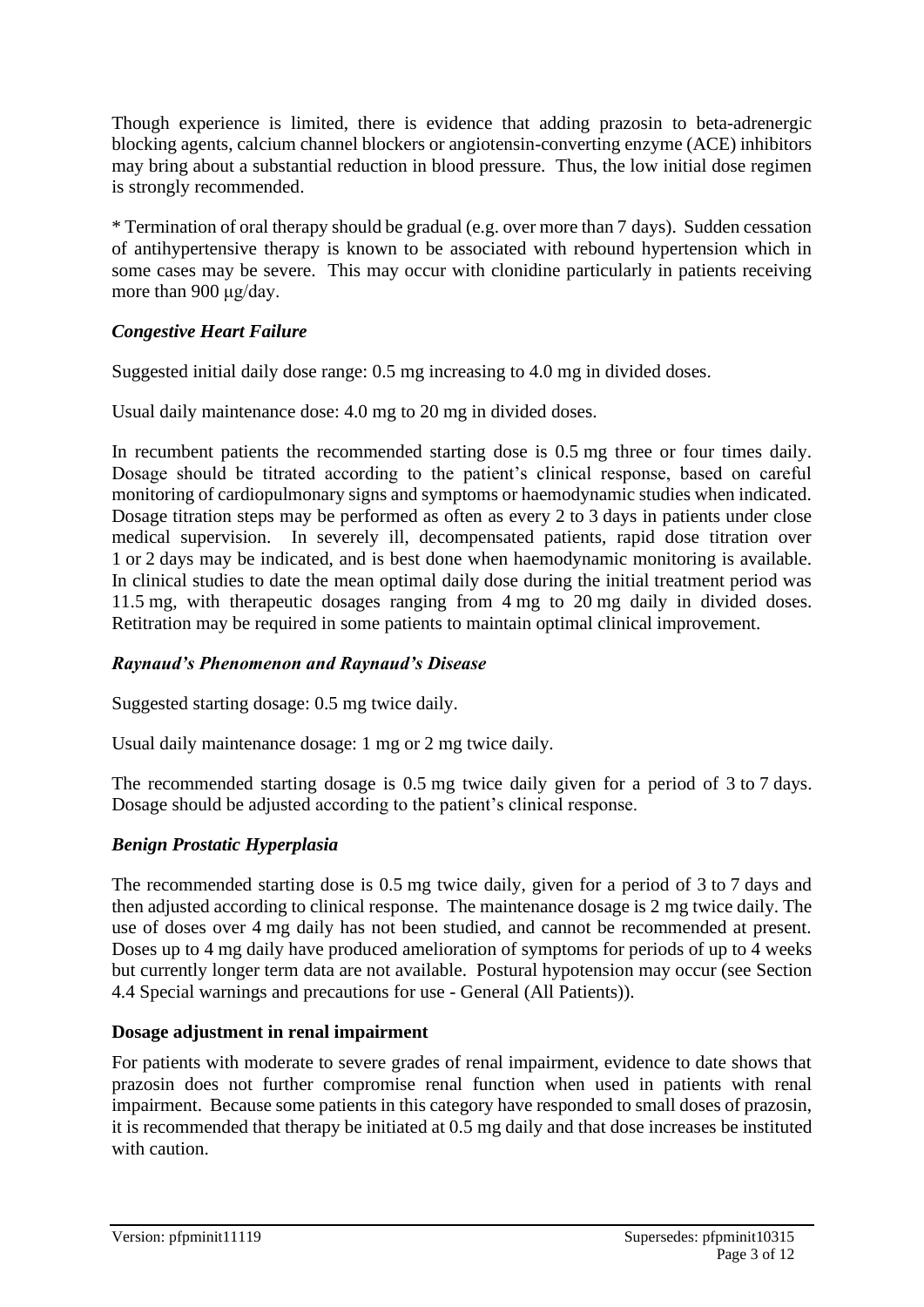Though experience is limited, there is evidence that adding prazosin to beta-adrenergic blocking agents, calcium channel blockers or angiotensin-converting enzyme (ACE) inhibitors may bring about a substantial reduction in blood pressure. Thus, the low initial dose regimen is strongly recommended.

\* Termination of oral therapy should be gradual (e.g. over more than 7 days). Sudden cessation of antihypertensive therapy is known to be associated with rebound hypertension which in some cases may be severe. This may occur with clonidine particularly in patients receiving more than 900 μg/day.

#### *Congestive Heart Failure*

Suggested initial daily dose range: 0.5 mg increasing to 4.0 mg in divided doses.

Usual daily maintenance dose: 4.0 mg to 20 mg in divided doses.

In recumbent patients the recommended starting dose is 0.5 mg three or four times daily. Dosage should be titrated according to the patient's clinical response, based on careful monitoring of cardiopulmonary signs and symptoms or haemodynamic studies when indicated. Dosage titration steps may be performed as often as every 2 to 3 days in patients under close medical supervision. In severely ill, decompensated patients, rapid dose titration over 1 or 2 days may be indicated, and is best done when haemodynamic monitoring is available. In clinical studies to date the mean optimal daily dose during the initial treatment period was 11.5 mg, with therapeutic dosages ranging from 4 mg to 20 mg daily in divided doses. Retitration may be required in some patients to maintain optimal clinical improvement.

#### *Raynaud's Phenomenon and Raynaud's Disease*

Suggested starting dosage: 0.5 mg twice daily.

Usual daily maintenance dosage: 1 mg or 2 mg twice daily.

The recommended starting dosage is 0.5 mg twice daily given for a period of 3 to 7 days. Dosage should be adjusted according to the patient's clinical response.

#### *Benign Prostatic Hyperplasia*

The recommended starting dose is 0.5 mg twice daily, given for a period of 3 to 7 days and then adjusted according to clinical response. The maintenance dosage is 2 mg twice daily. The use of doses over 4 mg daily has not been studied, and cannot be recommended at present. Doses up to 4 mg daily have produced amelioration of symptoms for periods of up to 4 weeks but currently longer term data are not available. Postural hypotension may occur (see Section 4.4 Special warnings and precautions for use - General (All Patients)).

#### **Dosage adjustment in renal impairment**

For patients with moderate to severe grades of renal impairment, evidence to date shows that prazosin does not further compromise renal function when used in patients with renal impairment. Because some patients in this category have responded to small doses of prazosin, it is recommended that therapy be initiated at 0.5 mg daily and that dose increases be instituted with caution.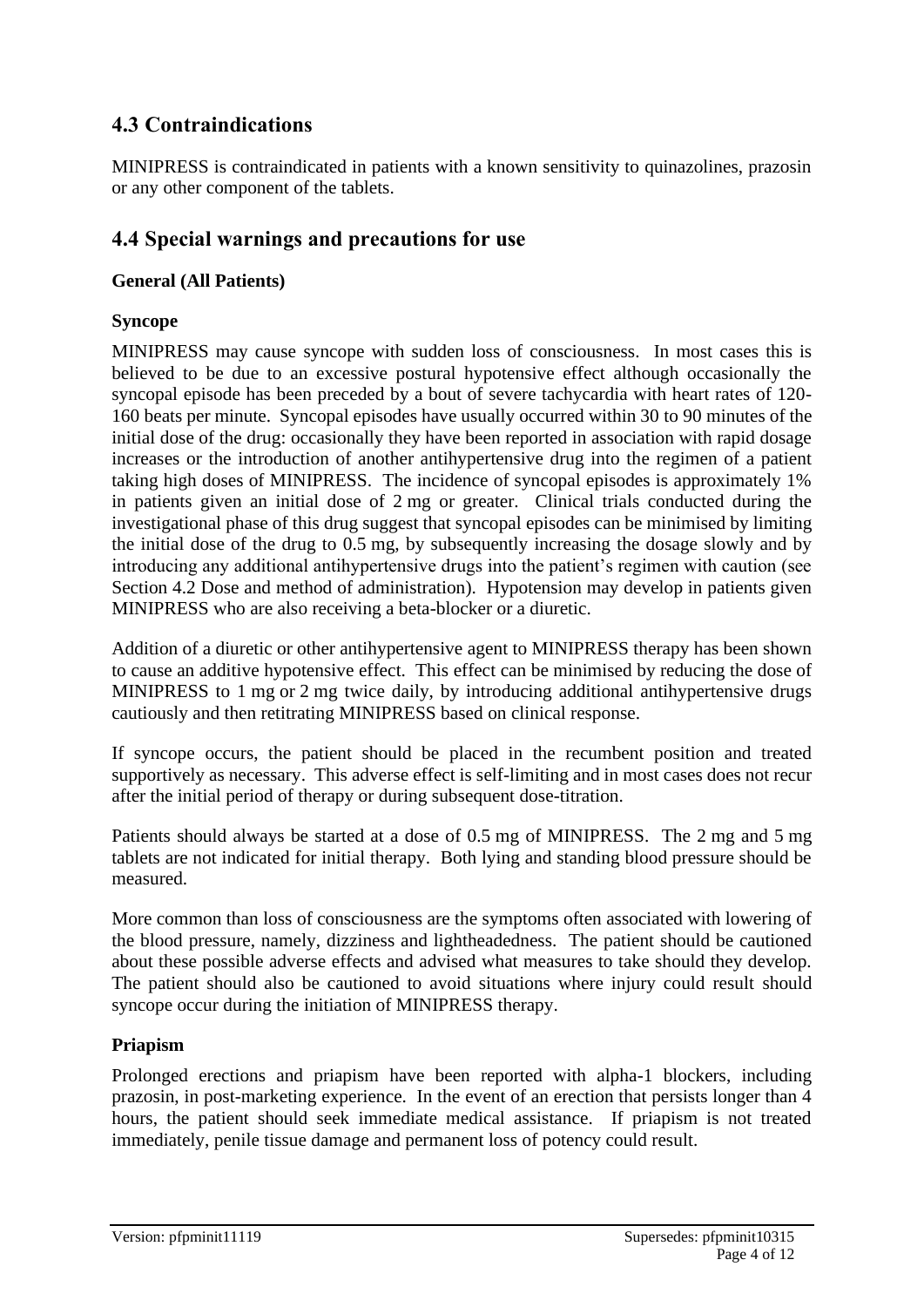# **4.3 Contraindications**

MINIPRESS is contraindicated in patients with a known sensitivity to quinazolines, prazosin or any other component of the tablets.

# **4.4 Special warnings and precautions for use**

### **General (All Patients)**

### **Syncope**

MINIPRESS may cause syncope with sudden loss of consciousness. In most cases this is believed to be due to an excessive postural hypotensive effect although occasionally the syncopal episode has been preceded by a bout of severe tachycardia with heart rates of 120- 160 beats per minute. Syncopal episodes have usually occurred within 30 to 90 minutes of the initial dose of the drug: occasionally they have been reported in association with rapid dosage increases or the introduction of another antihypertensive drug into the regimen of a patient taking high doses of MINIPRESS. The incidence of syncopal episodes is approximately 1% in patients given an initial dose of 2 mg or greater. Clinical trials conducted during the investigational phase of this drug suggest that syncopal episodes can be minimised by limiting the initial dose of the drug to 0.5 mg, by subsequently increasing the dosage slowly and by introducing any additional antihypertensive drugs into the patient's regimen with caution (see Section 4.2 Dose and method of administration). Hypotension may develop in patients given MINIPRESS who are also receiving a beta-blocker or a diuretic.

Addition of a diuretic or other antihypertensive agent to MINIPRESS therapy has been shown to cause an additive hypotensive effect. This effect can be minimised by reducing the dose of MINIPRESS to 1 mg or 2 mg twice daily, by introducing additional antihypertensive drugs cautiously and then retitrating MINIPRESS based on clinical response.

If syncope occurs, the patient should be placed in the recumbent position and treated supportively as necessary. This adverse effect is self-limiting and in most cases does not recur after the initial period of therapy or during subsequent dose-titration.

Patients should always be started at a dose of 0.5 mg of MINIPRESS. The 2 mg and 5 mg tablets are not indicated for initial therapy. Both lying and standing blood pressure should be measured.

More common than loss of consciousness are the symptoms often associated with lowering of the blood pressure, namely, dizziness and lightheadedness. The patient should be cautioned about these possible adverse effects and advised what measures to take should they develop. The patient should also be cautioned to avoid situations where injury could result should syncope occur during the initiation of MINIPRESS therapy.

#### **Priapism**

Prolonged erections and priapism have been reported with alpha-1 blockers, including prazosin, in post-marketing experience. In the event of an erection that persists longer than 4 hours, the patient should seek immediate medical assistance. If priapism is not treated immediately, penile tissue damage and permanent loss of potency could result.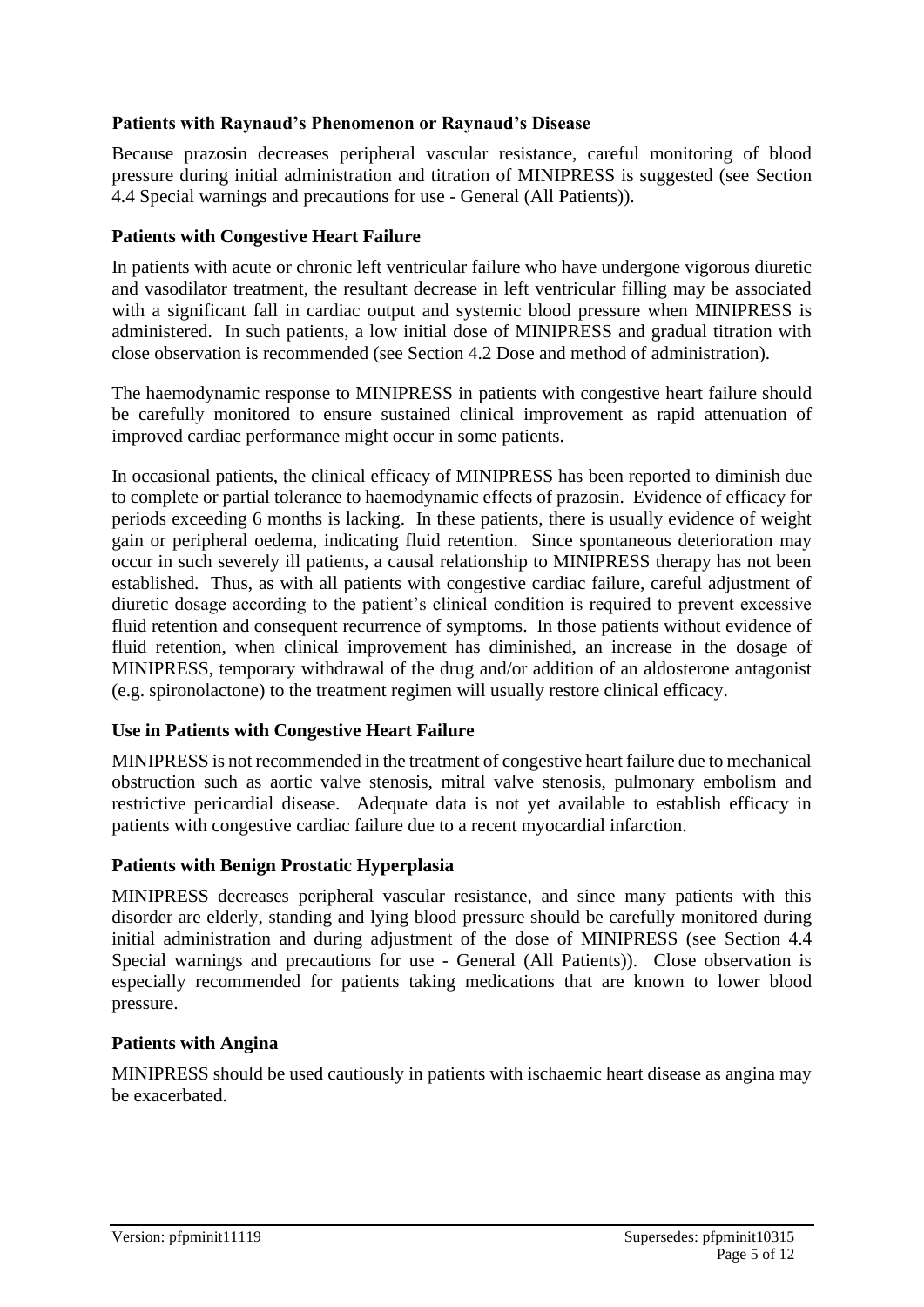#### **Patients with Raynaud's Phenomenon or Raynaud's Disease**

Because prazosin decreases peripheral vascular resistance, careful monitoring of blood pressure during initial administration and titration of MINIPRESS is suggested (see Section 4.4 Special warnings and precautions for use - General (All Patients)).

#### **Patients with Congestive Heart Failure**

In patients with acute or chronic left ventricular failure who have undergone vigorous diuretic and vasodilator treatment, the resultant decrease in left ventricular filling may be associated with a significant fall in cardiac output and systemic blood pressure when MINIPRESS is administered. In such patients, a low initial dose of MINIPRESS and gradual titration with close observation is recommended (see Section 4.2 Dose and method of administration).

The haemodynamic response to MINIPRESS in patients with congestive heart failure should be carefully monitored to ensure sustained clinical improvement as rapid attenuation of improved cardiac performance might occur in some patients.

In occasional patients, the clinical efficacy of MINIPRESS has been reported to diminish due to complete or partial tolerance to haemodynamic effects of prazosin. Evidence of efficacy for periods exceeding 6 months is lacking. In these patients, there is usually evidence of weight gain or peripheral oedema, indicating fluid retention. Since spontaneous deterioration may occur in such severely ill patients, a causal relationship to MINIPRESS therapy has not been established. Thus, as with all patients with congestive cardiac failure, careful adjustment of diuretic dosage according to the patient's clinical condition is required to prevent excessive fluid retention and consequent recurrence of symptoms. In those patients without evidence of fluid retention, when clinical improvement has diminished, an increase in the dosage of MINIPRESS, temporary withdrawal of the drug and/or addition of an aldosterone antagonist (e.g. spironolactone) to the treatment regimen will usually restore clinical efficacy.

#### **Use in Patients with Congestive Heart Failure**

MINIPRESS is not recommended in the treatment of congestive heart failure due to mechanical obstruction such as aortic valve stenosis, mitral valve stenosis, pulmonary embolism and restrictive pericardial disease. Adequate data is not yet available to establish efficacy in patients with congestive cardiac failure due to a recent myocardial infarction.

#### **Patients with Benign Prostatic Hyperplasia**

MINIPRESS decreases peripheral vascular resistance, and since many patients with this disorder are elderly, standing and lying blood pressure should be carefully monitored during initial administration and during adjustment of the dose of MINIPRESS (see Section 4.4 Special warnings and precautions for use - General (All Patients)). Close observation is especially recommended for patients taking medications that are known to lower blood pressure.

#### **Patients with Angina**

MINIPRESS should be used cautiously in patients with ischaemic heart disease as angina may be exacerbated.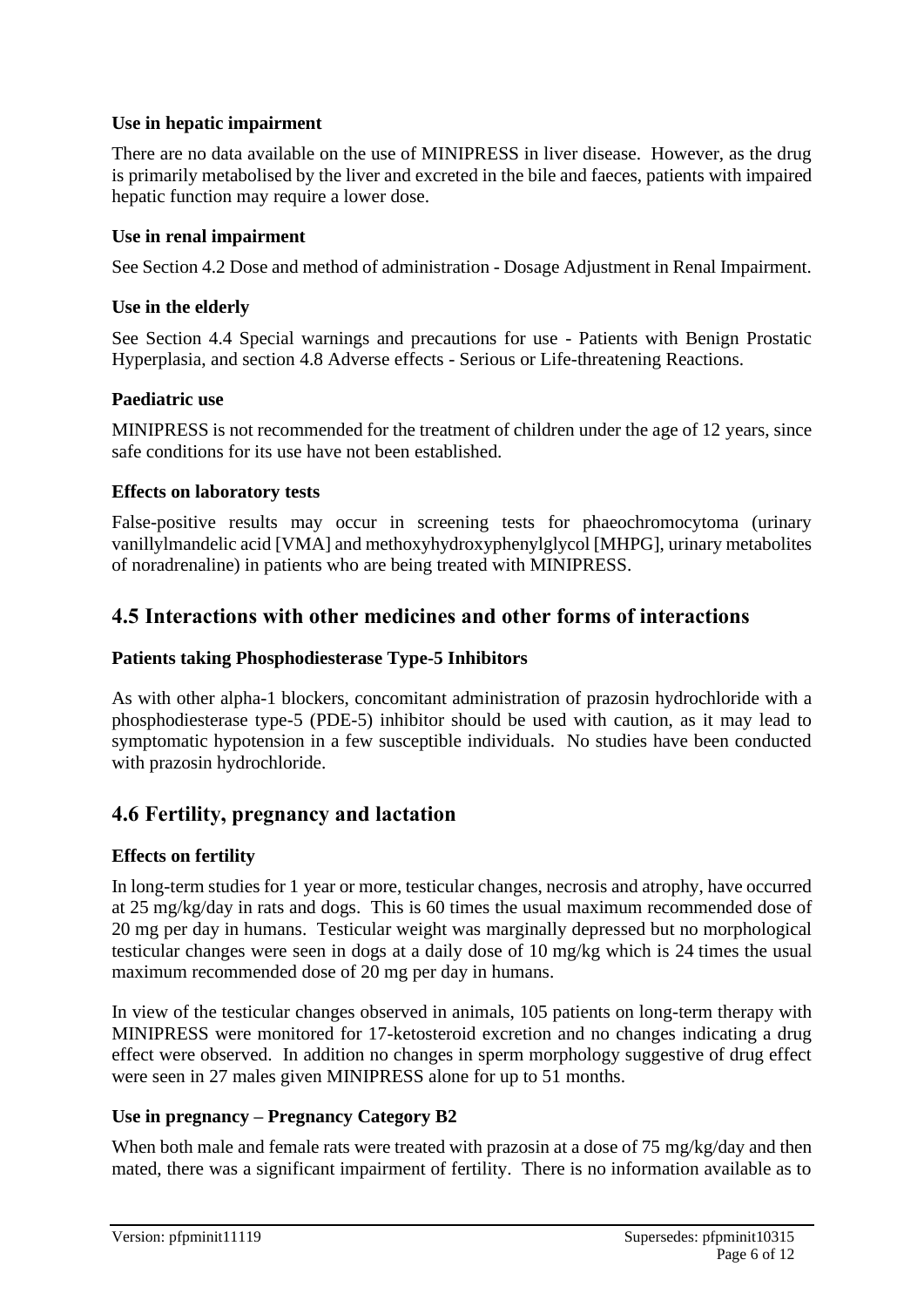#### **Use in hepatic impairment**

There are no data available on the use of MINIPRESS in liver disease. However, as the drug is primarily metabolised by the liver and excreted in the bile and faeces, patients with impaired hepatic function may require a lower dose.

#### **Use in renal impairment**

See Section 4.2 Dose and method of administration - Dosage Adjustment in Renal Impairment.

#### **Use in the elderly**

See Section 4.4 Special warnings and precautions for use - Patients with Benign Prostatic Hyperplasia, and section 4.8 Adverse effects - Serious or Life-threatening Reactions.

#### **Paediatric use**

MINIPRESS is not recommended for the treatment of children under the age of 12 years, since safe conditions for its use have not been established.

#### **Effects on laboratory tests**

False-positive results may occur in screening tests for phaeochromocytoma (urinary vanillylmandelic acid [VMA] and methoxyhydroxyphenylglycol [MHPG], urinary metabolites of noradrenaline) in patients who are being treated with MINIPRESS.

### **4.5 Interactions with other medicines and other forms of interactions**

#### **Patients taking Phosphodiesterase Type-5 Inhibitors**

As with other alpha-1 blockers, concomitant administration of prazosin hydrochloride with a phosphodiesterase type-5 (PDE-5) inhibitor should be used with caution, as it may lead to symptomatic hypotension in a few susceptible individuals. No studies have been conducted with prazosin hydrochloride.

### **4.6 Fertility, pregnancy and lactation**

#### **Effects on fertility**

In long-term studies for 1 year or more, testicular changes, necrosis and atrophy, have occurred at 25 mg/kg/day in rats and dogs. This is 60 times the usual maximum recommended dose of 20 mg per day in humans. Testicular weight was marginally depressed but no morphological testicular changes were seen in dogs at a daily dose of 10 mg/kg which is 24 times the usual maximum recommended dose of 20 mg per day in humans.

In view of the testicular changes observed in animals, 105 patients on long-term therapy with MINIPRESS were monitored for 17-ketosteroid excretion and no changes indicating a drug effect were observed. In addition no changes in sperm morphology suggestive of drug effect were seen in 27 males given MINIPRESS alone for up to 51 months.

#### **Use in pregnancy – Pregnancy Category B2**

When both male and female rats were treated with prazosin at a dose of 75 mg/kg/day and then mated, there was a significant impairment of fertility. There is no information available as to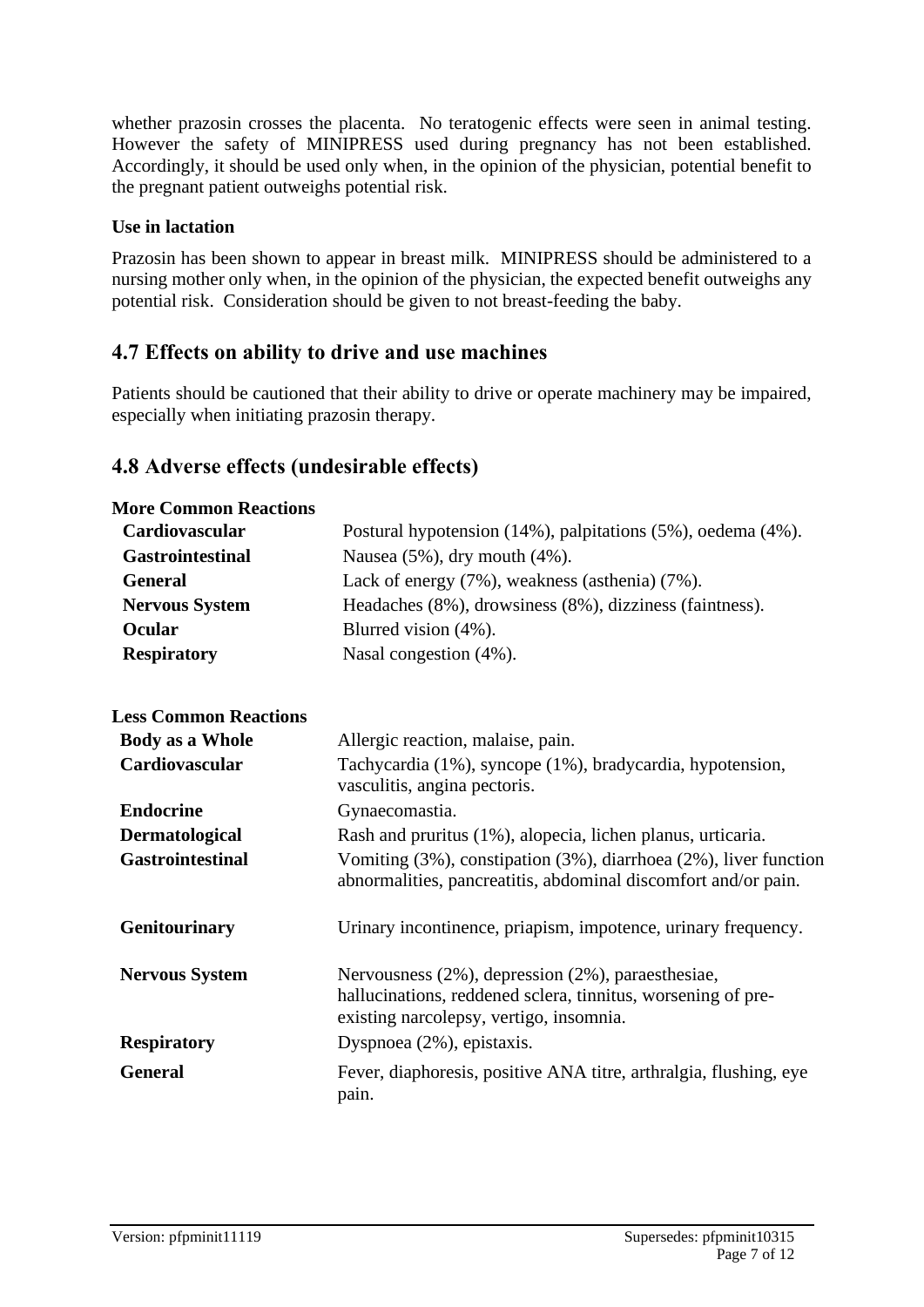whether prazosin crosses the placenta. No teratogenic effects were seen in animal testing. However the safety of MINIPRESS used during pregnancy has not been established. Accordingly, it should be used only when, in the opinion of the physician, potential benefit to the pregnant patient outweighs potential risk.

#### **Use in lactation**

Prazosin has been shown to appear in breast milk. MINIPRESS should be administered to a nursing mother only when, in the opinion of the physician, the expected benefit outweighs any potential risk. Consideration should be given to not breast-feeding the baby.

### **4.7 Effects on ability to drive and use machines**

Patients should be cautioned that their ability to drive or operate machinery may be impaired, especially when initiating prazosin therapy.

### **4.8 Adverse effects (undesirable effects)**

| <b>More Common Reactions</b> |                                                                                                                                                              |
|------------------------------|--------------------------------------------------------------------------------------------------------------------------------------------------------------|
| Cardiovascular               | Postural hypotension (14%), palpitations (5%), oedema (4%).                                                                                                  |
| <b>Gastrointestinal</b>      | Nausea (5%), dry mouth (4%).                                                                                                                                 |
| <b>General</b>               | Lack of energy (7%), weakness (asthenia) (7%).                                                                                                               |
| <b>Nervous System</b>        | Headaches (8%), drowsiness (8%), dizziness (faintness).                                                                                                      |
| <b>Ocular</b>                | Blurred vision (4%).                                                                                                                                         |
| <b>Respiratory</b>           | Nasal congestion (4%).                                                                                                                                       |
| <b>Less Common Reactions</b> |                                                                                                                                                              |
| <b>Body as a Whole</b>       | Allergic reaction, malaise, pain.                                                                                                                            |
| Cardiovascular               | Tachycardia (1%), syncope (1%), bradycardia, hypotension,<br>vasculitis, angina pectoris.                                                                    |
| <b>Endocrine</b>             | Gynaecomastia.                                                                                                                                               |
| Dermatological               | Rash and pruritus (1%), alopecia, lichen planus, urticaria.                                                                                                  |
| <b>Gastrointestinal</b>      | Vomiting (3%), constipation (3%), diarrhoea (2%), liver function<br>abnormalities, pancreatitis, abdominal discomfort and/or pain.                           |
| <b>Genitourinary</b>         | Urinary incontinence, priapism, impotence, urinary frequency.                                                                                                |
| <b>Nervous System</b>        | Nervousness (2%), depression (2%), paraesthesiae,<br>hallucinations, reddened sclera, tinnitus, worsening of pre-<br>existing narcolepsy, vertigo, insomnia. |
| <b>Respiratory</b>           | Dyspnoea (2%), epistaxis.                                                                                                                                    |
| <b>General</b>               | Fever, diaphoresis, positive ANA titre, arthralgia, flushing, eye<br>pain.                                                                                   |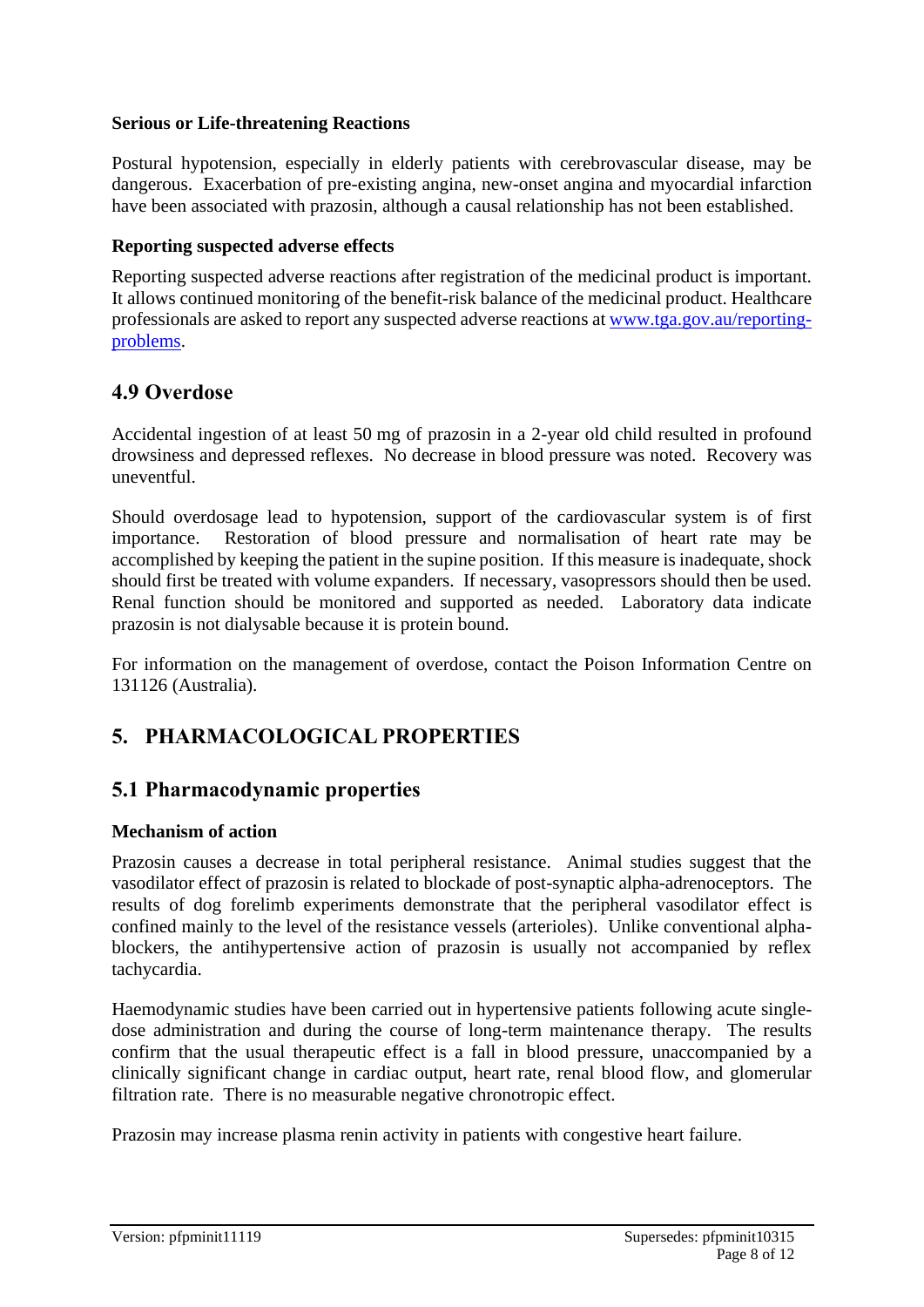#### **Serious or Life-threatening Reactions**

Postural hypotension, especially in elderly patients with cerebrovascular disease, may be dangerous. Exacerbation of pre-existing angina, new-onset angina and myocardial infarction have been associated with prazosin, although a causal relationship has not been established.

#### **Reporting suspected adverse effects**

Reporting suspected adverse reactions after registration of the medicinal product is important. It allows continued monitoring of the benefit-risk balance of the medicinal product. Healthcare professionals are asked to report any suspected adverse reactions at [www.tga.gov.au/reporting](http://www.tga.gov.au/reporting-problems)[problems.](http://www.tga.gov.au/reporting-problems)

### **4.9 Overdose**

Accidental ingestion of at least 50 mg of prazosin in a 2-year old child resulted in profound drowsiness and depressed reflexes. No decrease in blood pressure was noted. Recovery was uneventful.

Should overdosage lead to hypotension, support of the cardiovascular system is of first importance. Restoration of blood pressure and normalisation of heart rate may be accomplished by keeping the patient in the supine position. If this measure is inadequate, shock should first be treated with volume expanders. If necessary, vasopressors should then be used. Renal function should be monitored and supported as needed. Laboratory data indicate prazosin is not dialysable because it is protein bound.

For information on the management of overdose, contact the Poison Information Centre on 131126 (Australia).

# **5. PHARMACOLOGICAL PROPERTIES**

### **5.1 Pharmacodynamic properties**

#### **Mechanism of action**

Prazosin causes a decrease in total peripheral resistance. Animal studies suggest that the vasodilator effect of prazosin is related to blockade of post-synaptic alpha-adrenoceptors. The results of dog forelimb experiments demonstrate that the peripheral vasodilator effect is confined mainly to the level of the resistance vessels (arterioles). Unlike conventional alphablockers, the antihypertensive action of prazosin is usually not accompanied by reflex tachycardia.

Haemodynamic studies have been carried out in hypertensive patients following acute singledose administration and during the course of long-term maintenance therapy. The results confirm that the usual therapeutic effect is a fall in blood pressure, unaccompanied by a clinically significant change in cardiac output, heart rate, renal blood flow, and glomerular filtration rate. There is no measurable negative chronotropic effect.

Prazosin may increase plasma renin activity in patients with congestive heart failure.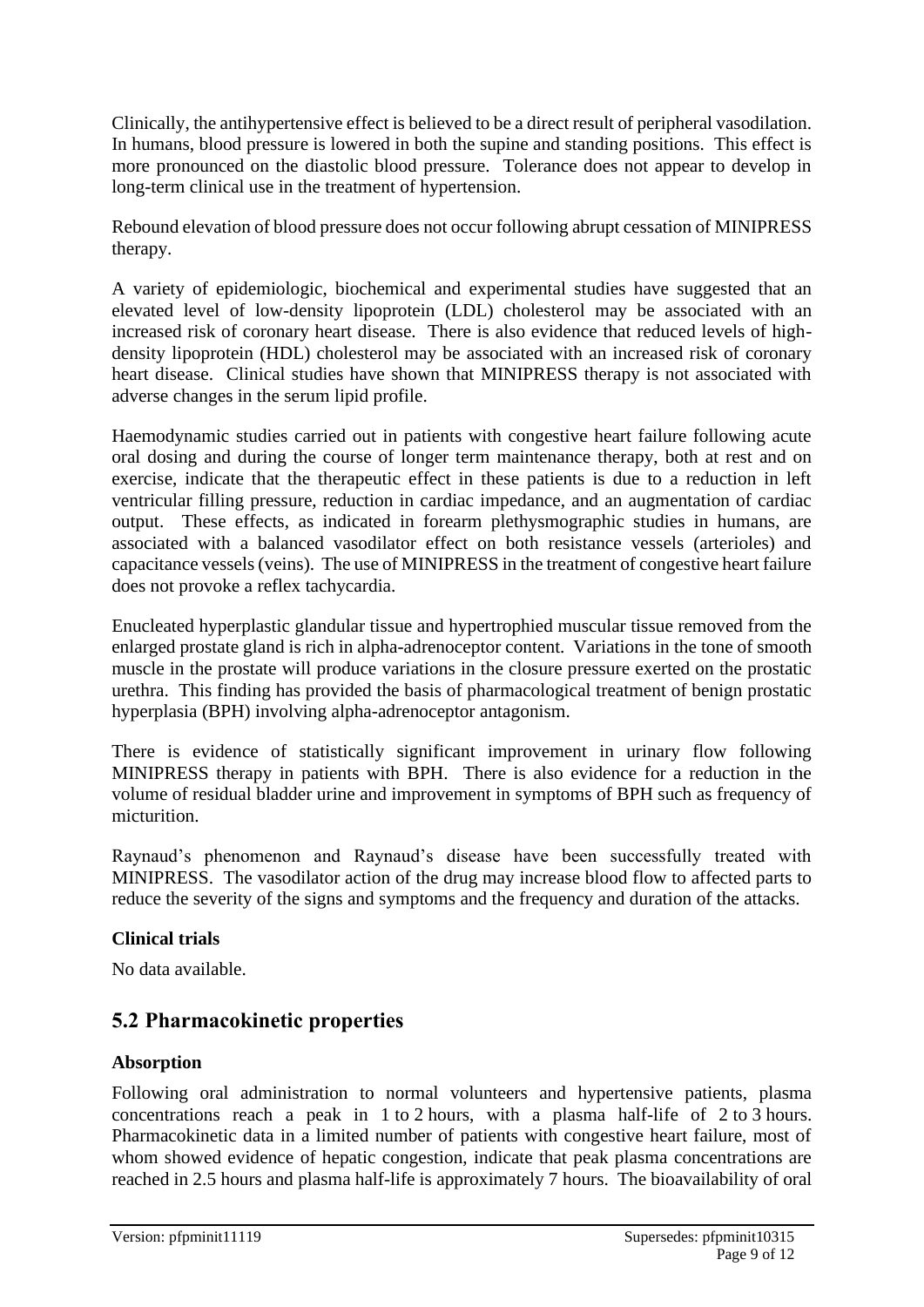Clinically, the antihypertensive effect is believed to be a direct result of peripheral vasodilation. In humans, blood pressure is lowered in both the supine and standing positions. This effect is more pronounced on the diastolic blood pressure. Tolerance does not appear to develop in long-term clinical use in the treatment of hypertension.

Rebound elevation of blood pressure does not occur following abrupt cessation of MINIPRESS therapy.

A variety of epidemiologic, biochemical and experimental studies have suggested that an elevated level of low-density lipoprotein (LDL) cholesterol may be associated with an increased risk of coronary heart disease. There is also evidence that reduced levels of highdensity lipoprotein (HDL) cholesterol may be associated with an increased risk of coronary heart disease. Clinical studies have shown that MINIPRESS therapy is not associated with adverse changes in the serum lipid profile.

Haemodynamic studies carried out in patients with congestive heart failure following acute oral dosing and during the course of longer term maintenance therapy, both at rest and on exercise, indicate that the therapeutic effect in these patients is due to a reduction in left ventricular filling pressure, reduction in cardiac impedance, and an augmentation of cardiac output. These effects, as indicated in forearm plethysmographic studies in humans, are associated with a balanced vasodilator effect on both resistance vessels (arterioles) and capacitance vessels (veins). The use of MINIPRESS in the treatment of congestive heart failure does not provoke a reflex tachycardia.

Enucleated hyperplastic glandular tissue and hypertrophied muscular tissue removed from the enlarged prostate gland is rich in alpha-adrenoceptor content. Variations in the tone of smooth muscle in the prostate will produce variations in the closure pressure exerted on the prostatic urethra. This finding has provided the basis of pharmacological treatment of benign prostatic hyperplasia (BPH) involving alpha-adrenoceptor antagonism.

There is evidence of statistically significant improvement in urinary flow following MINIPRESS therapy in patients with BPH. There is also evidence for a reduction in the volume of residual bladder urine and improvement in symptoms of BPH such as frequency of micturition.

Raynaud's phenomenon and Raynaud's disease have been successfully treated with MINIPRESS. The vasodilator action of the drug may increase blood flow to affected parts to reduce the severity of the signs and symptoms and the frequency and duration of the attacks.

#### **Clinical trials**

No data available.

# **5.2 Pharmacokinetic properties**

#### **Absorption**

Following oral administration to normal volunteers and hypertensive patients, plasma concentrations reach a peak in 1 to 2 hours, with a plasma half-life of 2 to 3 hours. Pharmacokinetic data in a limited number of patients with congestive heart failure, most of whom showed evidence of hepatic congestion, indicate that peak plasma concentrations are reached in 2.5 hours and plasma half-life is approximately 7 hours. The bioavailability of oral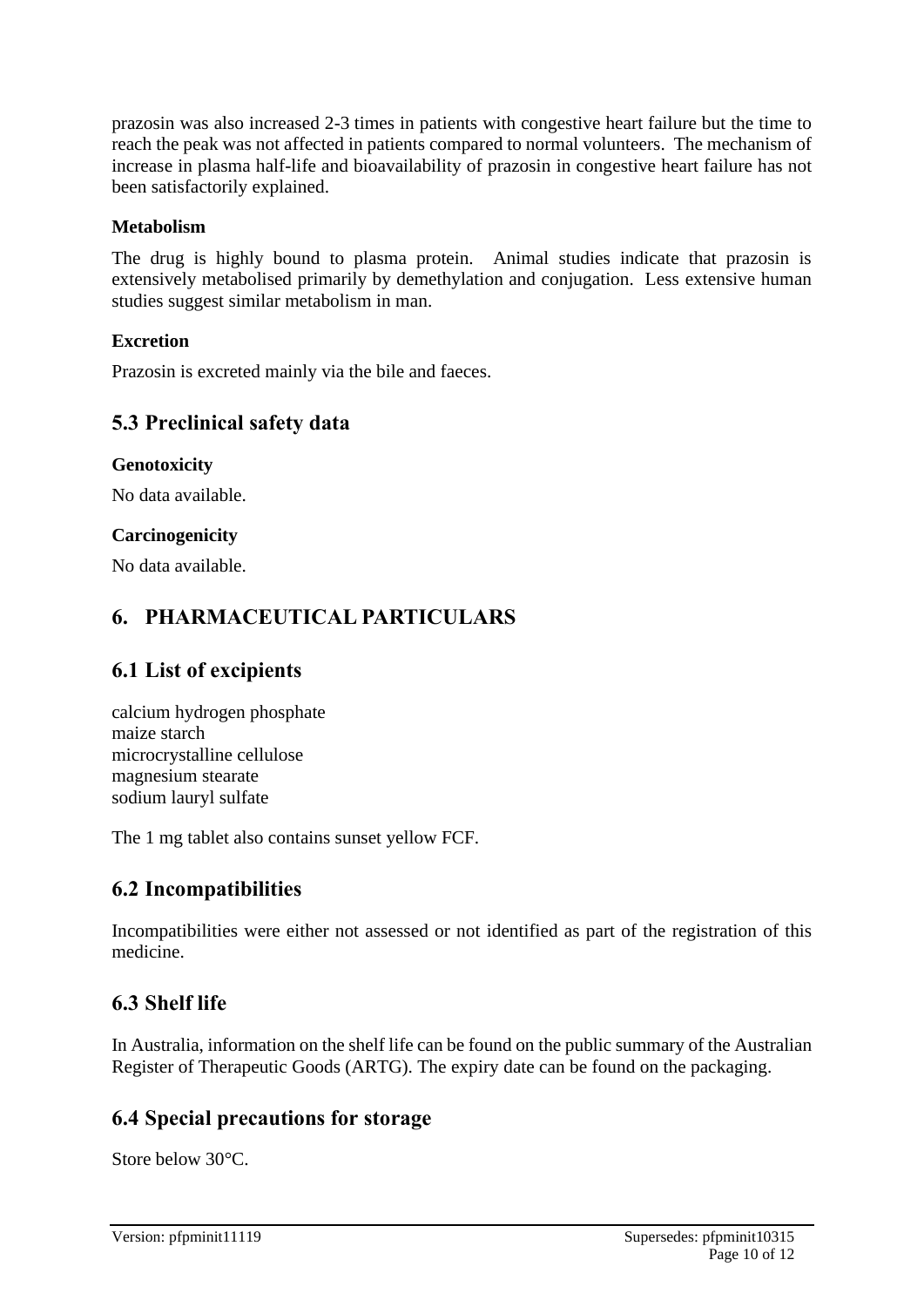prazosin was also increased 2-3 times in patients with congestive heart failure but the time to reach the peak was not affected in patients compared to normal volunteers. The mechanism of increase in plasma half-life and bioavailability of prazosin in congestive heart failure has not been satisfactorily explained.

#### **Metabolism**

The drug is highly bound to plasma protein. Animal studies indicate that prazosin is extensively metabolised primarily by demethylation and conjugation. Less extensive human studies suggest similar metabolism in man.

#### **Excretion**

Prazosin is excreted mainly via the bile and faeces.

### **5.3 Preclinical safety data**

#### **Genotoxicity**

No data available.

#### **Carcinogenicity**

No data available.

### **6. PHARMACEUTICAL PARTICULARS**

### **6.1 List of excipients**

calcium hydrogen phosphate maize starch microcrystalline cellulose magnesium stearate sodium lauryl sulfate

The 1 mg tablet also contains sunset yellow FCF.

#### **6.2 Incompatibilities**

Incompatibilities were either not assessed or not identified as part of the registration of this medicine.

### **6.3 Shelf life**

In Australia, information on the shelf life can be found on the public summary of the Australian Register of Therapeutic Goods (ARTG). The expiry date can be found on the packaging.

### **6.4 Special precautions for storage**

Store below 30°C.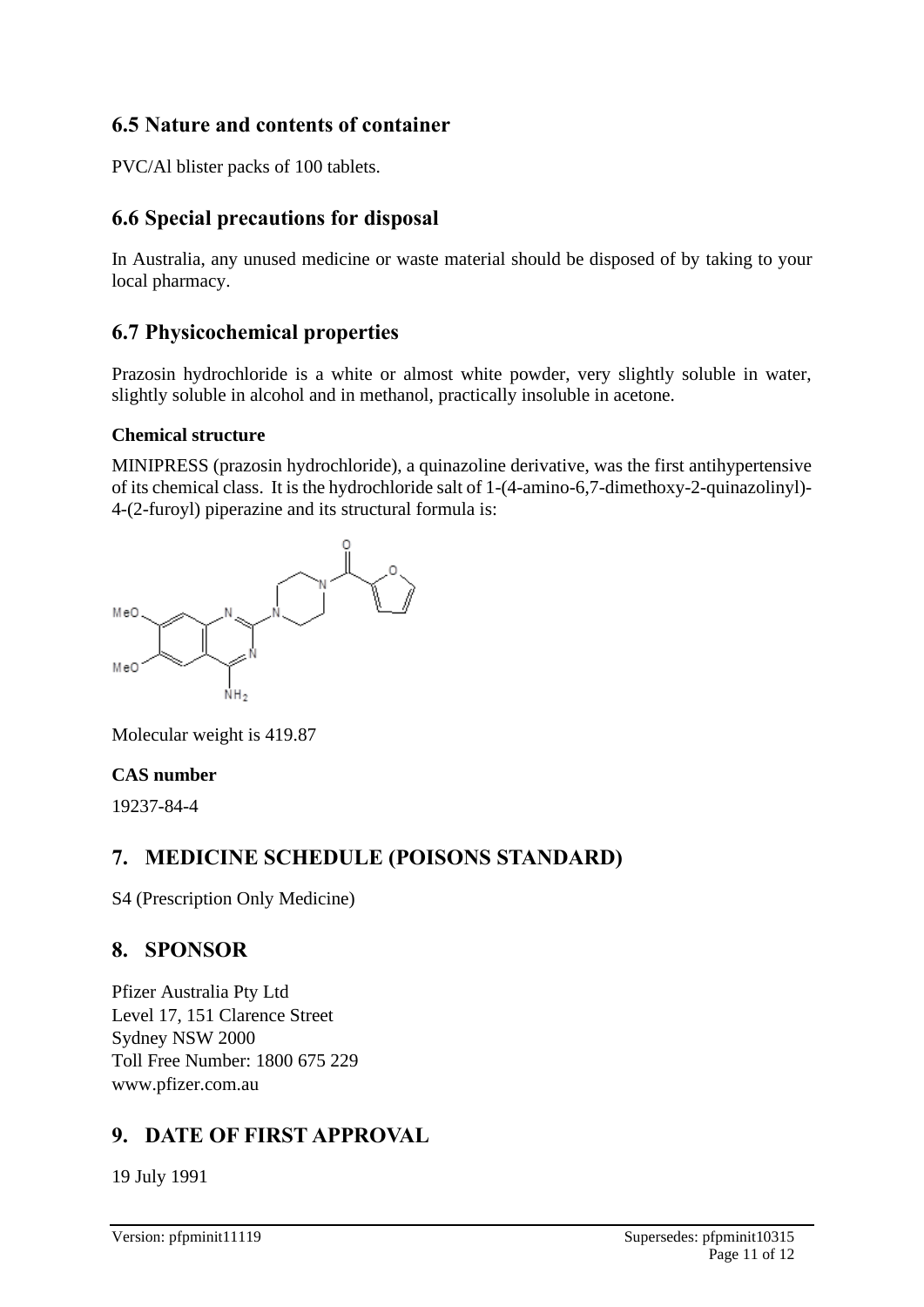# **6.5 Nature and contents of container**

PVC/Al blister packs of 100 tablets.

# **6.6 Special precautions for disposal**

In Australia, any unused medicine or waste material should be disposed of by taking to your local pharmacy.

# **6.7 Physicochemical properties**

Prazosin hydrochloride is a white or almost white powder, very slightly soluble in water, slightly soluble in alcohol and in methanol, practically insoluble in acetone.

#### **Chemical structure**

MINIPRESS (prazosin hydrochloride), a quinazoline derivative, was the first antihypertensive of its chemical class. It is the hydrochloride salt of 1-(4-amino-6,7-dimethoxy-2-quinazolinyl)- 4-(2-furoyl) piperazine and its structural formula is:



Molecular weight is 419.87

### **CAS number**

19237-84-4

# **7. MEDICINE SCHEDULE (POISONS STANDARD)**

S4 (Prescription Only Medicine)

# **8. SPONSOR**

Pfizer Australia Pty Ltd Level 17, 151 Clarence Street Sydney NSW 2000 Toll Free Number: 1800 675 229 www.pfizer.com.au

# **9. DATE OF FIRST APPROVAL**

19 July 1991